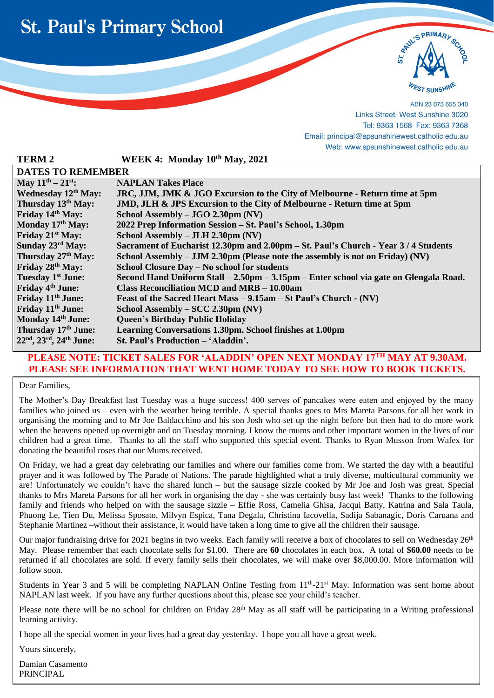



ABN 23 073 655 340 Links Street, West Sunshine 3020 Tel: 9363 1568 Fax: 9363 7368 Email: principal@spsunshinewest.catholic.edu.au Web: www.spsunshinewest.catholic.edu.au

| <b>TERM 2</b>                   | WEEK 4: Monday 10th May, 2021                                                         |  |  |  |
|---------------------------------|---------------------------------------------------------------------------------------|--|--|--|
| <b>DATES TO REMEMBER</b>        |                                                                                       |  |  |  |
| May $11^{th} - 21^{st}$ :       | <b>NAPLAN Takes Place</b>                                                             |  |  |  |
| Wednesday 12 <sup>th</sup> May: | JRC, JJM, JMK & JGO Excursion to the City of Melbourne - Return time at 5pm           |  |  |  |
| Thursday 13th May:              | <b>JMD, JLH &amp; JPS Excursion to the City of Melbourne - Return time at 5pm</b>     |  |  |  |
| Friday 14th May:                | School Assembly – JGO 2.30pm (NV)                                                     |  |  |  |
| Monday 17th May:                | 2022 Prep Information Session – St. Paul's School, 1.30pm                             |  |  |  |
| Friday 21 <sup>st</sup> May:    | School Assembly $-$ JLH 2.30pm (NV)                                                   |  |  |  |
| Sunday 23rd May:                | Sacrament of Eucharist 12.30pm and 2.00pm – St. Paul's Church - Year 3/4 Students     |  |  |  |
| Thursday 27 <sup>th</sup> May:  | School Assembly $-$ JJM 2.30pm (Please note the assembly is not on Friday) (NV)       |  |  |  |
| Friday 28th May:                | School Closure Day - No school for students                                           |  |  |  |
| Tuesday 1 <sup>st</sup> June:   | Second Hand Uniform Stall – 2.50pm – 3.15pm – Enter school via gate on Glengala Road. |  |  |  |
| Friday 4 <sup>th</sup> June:    | Class Reconciliation MCD and MRB – 10.00am                                            |  |  |  |
| Friday 11 <sup>th</sup> June:   | Feast of the Sacred Heart Mass – 9.15am – St Paul's Church - (NV)                     |  |  |  |
| Friday 11 <sup>th</sup> June:   | School Assembly – SCC 2.30pm (NV)                                                     |  |  |  |
| Monday 14th June:               | <b>Queen's Birthday Public Holiday</b>                                                |  |  |  |
| Thursday 17 <sup>th</sup> June: | Learning Conversations 1.30pm. School finishes at 1.00pm                              |  |  |  |
| $22nd$ , $23rd$ , $24th$ June:  | St. Paul's Production – 'Aladdin'.                                                    |  |  |  |

#### **PLEASE NOTE: TICKET SALES FOR 'ALADDIN' OPEN NEXT MONDAY 17TH MAY AT 9.30AM. PLEASE SEE INFORMATION THAT WENT HOME TODAY TO SEE HOW TO BOOK TICKETS.**

Dear Families,

l

The Mother's Day Breakfast last Tuesday was a huge success! 400 serves of pancakes were eaten and enjoyed by the many families who joined us – even with the weather being terrible. A special thanks goes to Mrs Mareta Parsons for all her work in organising the morning and to Mr Joe Baldacchino and his son Josh who set up the night before but then had to do more work when the heavens opened up overnight and on Tuesday morning. I know the mums and other important women in the lives of our children had a great time. Thanks to all the staff who supported this special event. Thanks to Ryan Musson from Wafex for donating the beautiful roses that our Mums received.

On Friday, we had a great day celebrating our families and where our families come from. We started the day with a beautiful prayer and it was followed by The Parade of Nations. The parade highlighted what a truly diverse, multicultural community we are! Unfortunately we couldn't have the shared lunch – but the sausage sizzle cooked by Mr Joe and Josh was great. Special thanks to Mrs Mareta Parsons for all her work in organising the day - she was certainly busy last week! Thanks to the following family and friends who helped on with the sausage sizzle – Effie Ross, Camelia Ghisa, Jacqui Batty, Katrina and Sala Taula, Phuong Le, Tien Du, Melissa Sposato, Milvyn Espica, Tana Degala, Christina Iacovella, Sadija Sabanagic, Doris Caruana and Stephanie Martinez –without their assistance, it would have taken a long time to give all the children their sausage.

Our major fundraising drive for 2021 begins in two weeks. Each family will receive a box of chocolates to sell on Wednesday 26<sup>th</sup> May. Please remember that each chocolate sells for \$1.00. There are **60** chocolates in each box. A total of **\$60.00** needs to be returned if all chocolates are sold. If every family sells their chocolates, we will make over \$8,000.00. More information will follow soon.

Students in Year 3 and 5 will be completing NAPLAN Online Testing from 11<sup>th</sup>-21<sup>st</sup> May. Information was sent home about NAPLAN last week. If you have any further questions about this, please see your child's teacher.

Please note there will be no school for children on Friday 28<sup>th</sup> May as all staff will be participating in a Writing professional learning activity.

I hope all the special women in your lives had a great day yesterday. I hope you all have a great week.

Yours sincerely,

Damian Casamento PRINCIPAL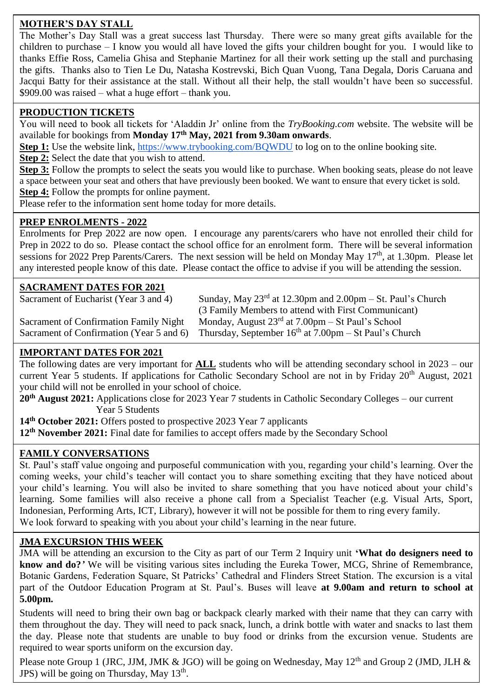# **MOTHER'S DAY STALL**

The Mother's Day Stall was a great success last Thursday. There were so many great gifts available for the children to purchase – I know you would all have loved the gifts your children bought for you. I would like to thanks Effie Ross, Camelia Ghisa and Stephanie Martinez for all their work setting up the stall and purchasing the gifts. Thanks also to Tien Le Du, Natasha Kostrevski, Bich Quan Vuong, Tana Degala, Doris Caruana and Jacqui Batty for their assistance at the stall. Without all their help, the stall wouldn't have been so successful. \$909.00 was raised – what a huge effort – thank you.

### **PRODUCTION TICKETS**

You will need to book all tickets for 'Aladdin Jr' online from the *TryBooking.com* website. The website will be available for bookings from **Monday 17th May, 2021 from 9.30am onwards**.

**Step 1:** Use the website link, <https://www.trybooking.com/BQWDU> to log on to the online booking site.

**Step 2:** Select the date that you wish to attend.

**Step 3:** Follow the prompts to select the seats you would like to purchase. When booking seats, please do not leave a space between your seat and others that have previously been booked. We want to ensure that every ticket is sold. **Step 4:** Follow the prompts for online payment.

Please refer to the information sent home today for more details.

### **PREP ENROLMENTS - 2022**

Enrolments for Prep 2022 are now open. I encourage any parents/carers who have not enrolled their child for Prep in 2022 to do so. Please contact the school office for an enrolment form. There will be several information sessions for 2022 Prep Parents/Carers. The next session will be held on Monday May 17<sup>th</sup>, at 1.30pm. Please let any interested people know of this date. Please contact the office to advise if you will be attending the session.

### **SACRAMENT DATES FOR 2021**

Sacrament of Eucharist (Year 3 and 4) Sunday, May  $23<sup>rd</sup>$  at 12.30pm and 2.00pm – St. Paul's Church (3 Family Members to attend with First Communicant) Sacrament of Confirmation Family Night Monday, August  $23<sup>rd</sup>$  at  $7.00 \text{pm} - \text{St Paul's School}$ Sacrament of Confirmation (Year 5 and 6) Thursday, September  $16<sup>th</sup>$  at 7.00pm – St Paul's Church

## **IMPORTANT DATES FOR 2021**

The following dates are very important for **ALL** students who will be attending secondary school in 2023 – our current Year 5 students. If applications for Catholic Secondary School are not in by Friday 20<sup>th</sup> August, 2021 your child will not be enrolled in your school of choice.

**20th August 2021:** Applications close for 2023 Year 7 students in Catholic Secondary Colleges – our current Year 5 Students

**14th October 2021:** Offers posted to prospective 2023 Year 7 applicants

**12th November 2021:** Final date for families to accept offers made by the Secondary School

### **FAMILY CONVERSATIONS**

St. Paul's staff value ongoing and purposeful communication with you, regarding your child's learning. Over the coming weeks, your child's teacher will contact you to share something exciting that they have noticed about your child's learning. You will also be invited to share something that you have noticed about your child's learning. Some families will also receive a phone call from a Specialist Teacher (e.g. Visual Arts, Sport, Indonesian, Performing Arts, ICT, Library), however it will not be possible for them to ring every family. We look forward to speaking with you about your child's learning in the near future.

### **JMA EXCURSION THIS WEEK**

JMA will be attending an excursion to the City as part of our Term 2 Inquiry unit **'What do designers need to know and do?***'* We will be visiting various sites including the Eureka Tower, MCG, Shrine of Remembrance, Botanic Gardens, Federation Square, St Patricks' Cathedral and Flinders Street Station. The excursion is a vital part of the Outdoor Education Program at St. Paul's. Buses will leave **at 9.00am and return to school at 5.00pm.**

Students will need to bring their own bag or backpack clearly marked with their name that they can carry with them throughout the day. They will need to pack snack, lunch, a drink bottle with water and snacks to last them the day. Please note that students are unable to buy food or drinks from the excursion venue. Students are required to wear sports uniform on the excursion day.

Please note Group 1 (JRC, JJM, JMK & JGO) will be going on Wednesday, May  $12<sup>th</sup>$  and Group 2 (JMD, JLH & JPS) will be going on Thursday, May 13<sup>th</sup>.